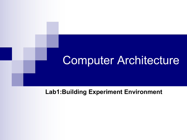## Computer Architecture

#### **Lab1:Building Experiment Environment**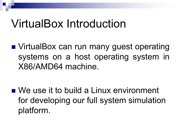## VirtualBox Introduction

■ VirtualBox can run many guest operating systems on a host operating system in X86/AMD64 machine.

 $\blacksquare$  We use it to build a Linux environment for developing our full system simulation platform.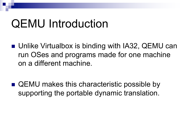## QEMU Introduction

- Unlike Virtualbox is binding with IA32, QEMU can run OSes and programs made for one machine on a different machine.
- $\blacksquare$  QEMU makes this characteristic possible by supporting the portable dynamic translation.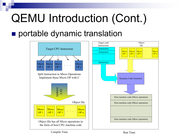# QEMU Introduction (Cont.)

### **n** portable dynamic translation

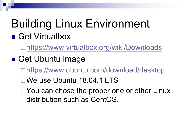## Building Linux Environment ■ Get Virtualbox

□<https://www.virtualbox.org/wiki/Downloads>

### ■ Get Ubuntu image

- □[https://www.ubuntu.com/download/desktop](http://61.164.110.188:82/Centos/)
- $\square$  We use Ubuntu 18.04.1 LTS
- $\Box$  You can chose the proper one or other Linux distribution such as CentOS.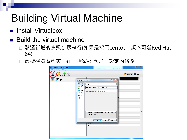## Building Virtual Machine

- **n** Install Virtualbox
- Build the virtual machine
	- □ 點選新增後按照步驟執行(如果是採用centos, 版本可選Red Hat 64)
	- □ 虛擬機器資料夾可在"檔案->喜好"設定內修改

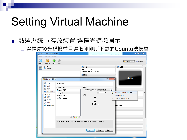## Setting Virtual Machine

#### ■ 點選系統->存放裝置 選擇光碟機圖示

□ 選擇虛擬光碟機並且選取剛剛所下載的Ubuntu映像檔

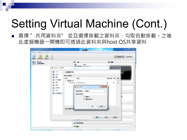# Setting Virtual Machine (Cont.)

■ 選擇 ″ 共用資料夾″ 並且選擇掛載之資料夾,勾取自動掛載。之後 此虛擬機器一開機即可透過此資料夾與host OS共享資料

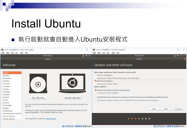## Install Ubuntu

### ■ 執行啟動就會自動進入Ubuntu安裝程式

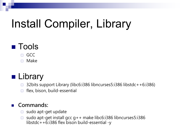# Install Compiler, Library

### **n** Tools

□ GCC

□ Make

### ■ Library

- □ 32bits support Library (libc6:i386 libncurses5:i386 libstdc++6:i386)
- $\Box$  flex, bison, build-essential

#### n **Commands:**

- $\Box$  sudo apt-get update
- □ sudo apt-get install gcc  $g++$  make libc6:i386 libncurses5:i386 libstdc++6:i386 flex bison build-essential -y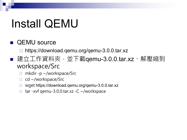## Install QEMU

#### **n** QEMU source

https://download.qemu.org/qemu-3.0.0.tar.xz

- 建立工作資料夾,並下載qemu-3.0.0.tar.xz、解壓縮到 workspace/Src
	- □ mkdir -p ~/workspace/Src
	- $\Box$  cd ~/workspace/Src
	- □ wget https://download.qemu.org/qemu-3.0.0.tar.xz
	- $\Box$  tar -xvf qemu-3.0.0.tar.xz -C ~/workspace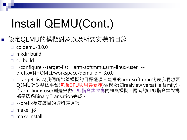# Install QEMU(Cont.)

### n 設定QEMU的模擬對象以及所要安裝的目錄

- $\Box$  cd qemu-3.0.0
- $\Box$  mkdir build
- $\Box$  cd build
- ¨ ../configure --target-list="arm-softmmu,arm-linux-user" prefix=\${HOME}/workspace/qemu-bin-3.0.0
- □ --target-list為我們所希望模擬的目標選項。這裡的arm-softmmu代表我們想要 QEMU針對整個平台(包含CPU與周邊硬體)做模擬(如realview versatile family), 而arm-linux-user則是只做CPU指令集架構的轉換模擬。兩者的CPU指令集架構 都是透過Binary Transation完成。
- □ --prefix為安裝目的資料夾選項
- $\Box$  make –j8
- make install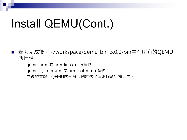# Install QEMU(Cont.)

- 安裝完成後,~/workspace/qemu-bin-3.0.0/bin中有所有的QEMU 執行檔
	- □ qemu-arm 為 arm-linux-user產物
	- □ qemu-system-arm 為 arm-softmmu 產物
	- □ 之後的實驗, QEMU的部分我們將透過這兩個執行檔完成。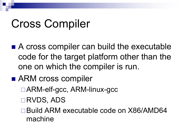# Cross Compiler

- $\blacksquare$  A cross compiler can build the executable code for the target platform other than the one on which the compiler is run.
- ARM cross compiler
	- □ARM-elf-gcc, ARM-linux-gcc
	- **□RVDS, ADS**
	- □ Build ARM executable code on X86/AMD64 machine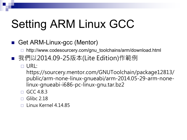# Setting ARM Linux GCC

### Get ARM-Linux-gcc (Mentor)

- http://www.codesourcery.com/gnu\_toolchains/arm/download.html
- 我們以2014.09-25版本(Lite Edition)作範例
	- $\Box$  URL:
		- https://sourcery.mentor.com/GNUToolchain/package12813/ public/arm-none-linux-gnueabi/arm-2014.05-29-arm-nonelinux-gnueabi-i686-pc-linux-gnu.tar.bz2
	- $\Box$  GCC 4.8.3
	- Glibc 2.18
	- ¨ Linux Kernel 4.14.85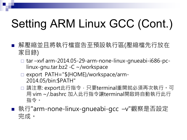# Setting ARM Linux GCC (Cont.)

- 解壓縮並且將執行檔宣告至預設執行區(壓縮檔先行放在 家目錄)
	- $\Box$  tar –xvf arm-2014.05-29-arm-none-linux-gnueabi-i686-pclinux-gnu.tar.bz2 -C ~/workspace
	- □ export PATH="\${HOME}/workspace/arm-2014.05/bin:\$PATH"
	- □ 請注意: export此行指令, 只要terminal重開就必須再次執行。可 用 vim ~/.bashrc 加入此行指令讓terminal開啟時自動執行此行 指令。
- 執行"arm-none-linux-gnueabi-gcc –v"觀察是否設定 完成。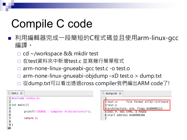# Compile C code

- 利用編輯器完成一段簡短的C程式碼並且使用arm-linux-gcc 編譯。
	- □ cd ~/workspace && mkdir test

10

- 在test資料夾中新增test.c 並寫幾行簡單程式
- arm-none-linux-gnueabi-gcc test.c -o test.o
- arm-none-linux-gnueabi-objdump –xD test.o > dump.txt
- □ 從dump.txt可以看出透過cross compiler我們編出ARM code了!

| test.c <b>X</b>                                                                                                                                | dump.txt $\times$                                                                                                                                             |
|------------------------------------------------------------------------------------------------------------------------------------------------|---------------------------------------------------------------------------------------------------------------------------------------------------------------|
| $1$ #include <stdio.h><br/><math>3</math> int main(){<br/>printf("COURSE: Computer Architecture\n");<br/>return <math>\theta</math>;</stdio.h> | 2 test.0:<br>file format elf32-littlearm<br>$3$ test.o<br>4 architecture: arm, flags 0x00000112:<br>5 EXEC P, HAS SYMS, D PAGED<br>6 start address 0x00008380 |